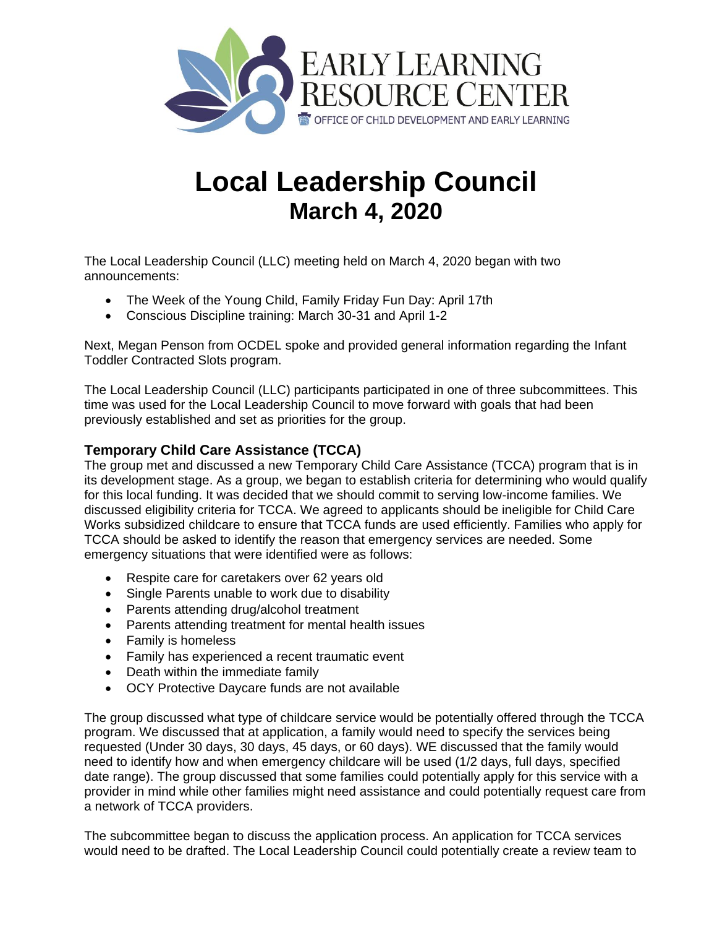

# **Local Leadership Council March 4, 2020**

The Local Leadership Council (LLC) meeting held on March 4, 2020 began with two announcements:

- The Week of the Young Child, Family Friday Fun Day: April 17th
- Conscious Discipline training: March 30-31 and April 1-2

Next, Megan Penson from OCDEL spoke and provided general information regarding the Infant Toddler Contracted Slots program.

The Local Leadership Council (LLC) participants participated in one of three subcommittees. This time was used for the Local Leadership Council to move forward with goals that had been previously established and set as priorities for the group.

### **Temporary Child Care Assistance (TCCA)**

The group met and discussed a new Temporary Child Care Assistance (TCCA) program that is in its development stage. As a group, we began to establish criteria for determining who would qualify for this local funding. It was decided that we should commit to serving low-income families. We discussed eligibility criteria for TCCA. We agreed to applicants should be ineligible for Child Care Works subsidized childcare to ensure that TCCA funds are used efficiently. Families who apply for TCCA should be asked to identify the reason that emergency services are needed. Some emergency situations that were identified were as follows:

- Respite care for caretakers over 62 years old
- Single Parents unable to work due to disability
- Parents attending drug/alcohol treatment
- Parents attending treatment for mental health issues
- Family is homeless
- Family has experienced a recent traumatic event
- Death within the immediate family
- OCY Protective Daycare funds are not available

The group discussed what type of childcare service would be potentially offered through the TCCA program. We discussed that at application, a family would need to specify the services being requested (Under 30 days, 30 days, 45 days, or 60 days). WE discussed that the family would need to identify how and when emergency childcare will be used (1/2 days, full days, specified date range). The group discussed that some families could potentially apply for this service with a provider in mind while other families might need assistance and could potentially request care from a network of TCCA providers.

The subcommittee began to discuss the application process. An application for TCCA services would need to be drafted. The Local Leadership Council could potentially create a review team to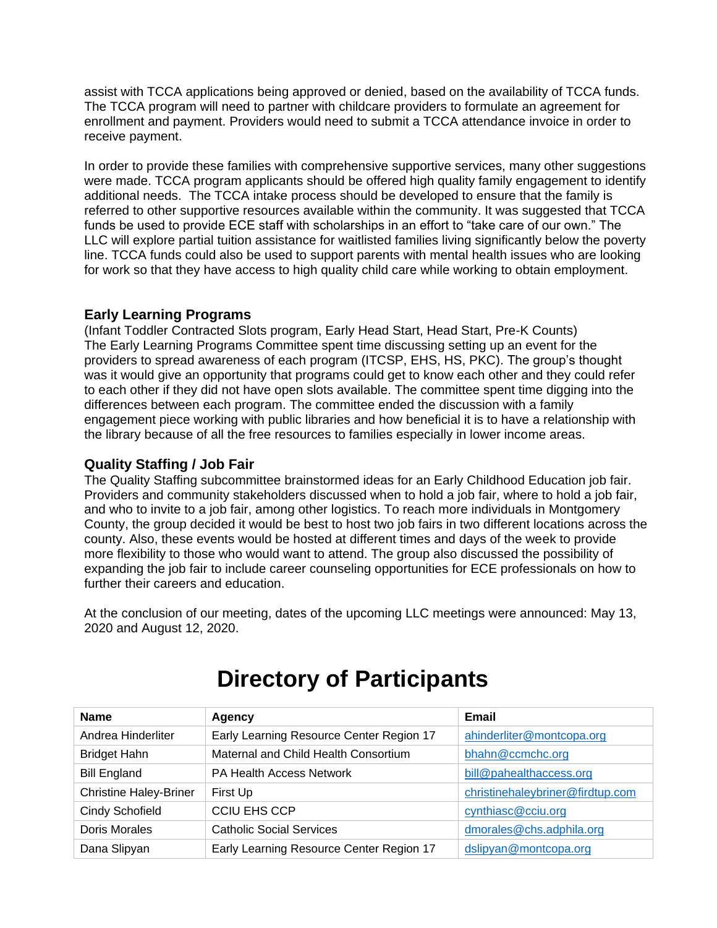assist with TCCA applications being approved or denied, based on the availability of TCCA funds. The TCCA program will need to partner with childcare providers to formulate an agreement for enrollment and payment. Providers would need to submit a TCCA attendance invoice in order to receive payment.

In order to provide these families with comprehensive supportive services, many other suggestions were made. TCCA program applicants should be offered high quality family engagement to identify additional needs. The TCCA intake process should be developed to ensure that the family is referred to other supportive resources available within the community. It was suggested that TCCA funds be used to provide ECE staff with scholarships in an effort to "take care of our own." The LLC will explore partial tuition assistance for waitlisted families living significantly below the poverty line. TCCA funds could also be used to support parents with mental health issues who are looking for work so that they have access to high quality child care while working to obtain employment.

#### **Early Learning Programs**

(Infant Toddler Contracted Slots program, Early Head Start, Head Start, Pre-K Counts) The Early Learning Programs Committee spent time discussing setting up an event for the providers to spread awareness of each program (ITCSP, EHS, HS, PKC). The group's thought was it would give an opportunity that programs could get to know each other and they could refer to each other if they did not have open slots available. The committee spent time digging into the differences between each program. The committee ended the discussion with a family engagement piece working with public libraries and how beneficial it is to have a relationship with the library because of all the free resources to families especially in lower income areas.

#### **Quality Staffing / Job Fair**

The Quality Staffing subcommittee brainstormed ideas for an Early Childhood Education job fair. Providers and community stakeholders discussed when to hold a job fair, where to hold a job fair, and who to invite to a job fair, among other logistics. To reach more individuals in Montgomery County, the group decided it would be best to host two job fairs in two different locations across the county. Also, these events would be hosted at different times and days of the week to provide more flexibility to those who would want to attend. The group also discussed the possibility of expanding the job fair to include career counseling opportunities for ECE professionals on how to further their careers and education.

At the conclusion of our meeting, dates of the upcoming LLC meetings were announced: May 13, 2020 and August 12, 2020.

| <b>Name</b>                   | Agency                                   | Email                            |
|-------------------------------|------------------------------------------|----------------------------------|
| Andrea Hinderliter            | Early Learning Resource Center Region 17 | ahinderliter@montcopa.org        |
| <b>Bridget Hahn</b>           | Maternal and Child Health Consortium     | bhahn@ccmchc.org                 |
| <b>Bill England</b>           | <b>PA Health Access Network</b>          | bill@pahealthaccess.org          |
| <b>Christine Haley-Briner</b> | First Up                                 | christinehaleybriner@firdtup.com |
| <b>Cindy Schofield</b>        | <b>CCIU EHS CCP</b>                      | cynthiasc@cciu.org               |
| <b>Doris Morales</b>          | <b>Catholic Social Services</b>          | dmorales@chs.adphila.org         |
| Dana Slipyan                  | Early Learning Resource Center Region 17 | dslipyan@montcopa.org            |

## **Directory of Participants**